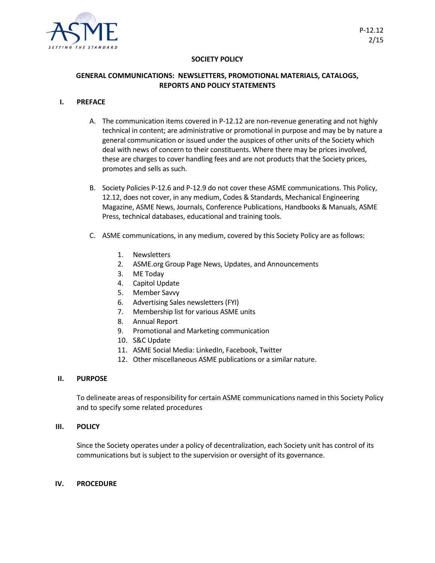

# **SOCIETY POLICY**

# **GENERAL COMMUNICATIONS: NEWSLETTERS, PROMOTIONAL MATERIALS, CATALOGS, REPORTS AND POLICY STATEMENTS**

## **I. PREFACE**

- A. The communication items covered in P-12.12 are non-revenue generating and not highly technical in content; are administrative or promotional in purpose and may be by nature a general communication or issued under the auspices of other units of the Society which deal with news of concern to their constituents. Where there may be prices involved, these are charges to cover handling fees and are not products that the Society prices, promotes and sells as such.
- B. Society Policies P-12.6 and P-12.9 do not cover these ASME communications. This Policy, 12.12, does not cover, in any medium, Codes & Standards, Mechanical Engineering Magazine, ASME News, Journals, Conference Publications, Handbooks & Manuals, ASME Press, technical databases, educational and training tools.
- C. ASME communications, in any medium, covered by this Society Policy are as follows:
	- 1. Newsletters
	- 2. ASME.org Group Page News, Updates, and Announcements
	- 3. ME Today
	- 4. Capitol Update
	- 5. Member Savvy
	- 6. Advertising Sales newsletters (FYI)
	- 7. Membership list for various ASME units
	- 8. Annual Report
	- 9. Promotional and Marketing communication
	- 10. S&C Update
	- 11. ASME Social Media: LinkedIn, Facebook, Twitter
	- 12. Other miscellaneous ASME publications or a similar nature.

## **II. PURPOSE**

To delineate areas of responsibility for certain ASME communications named in this Society Policy and to specify some related procedures

## **III. POLICY**

Since the Society operates under a policy of decentralization, each Society unit has control of its communications but is subject to the supervision or oversight of its governance.

## **IV. PROCEDURE**